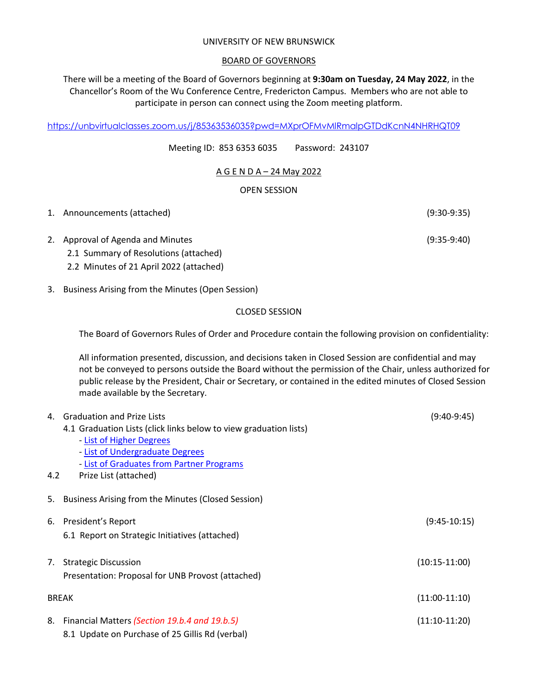#### UNIVERSITY OF NEW BRUNSWICK

## BOARD OF GOVERNORS

There will be a meeting of the Board of Governors beginning at **9:30am on Tuesday, 24 May 2022**, in the Chancellor's Room of the Wu Conference Centre, Fredericton Campus. Members who are not able to participate in person can connect using the Zoom meeting platform.

https://unbvirtualclasses.zoom.us/j/85363536035?pwd=MXprOFMvMlRmalpGTDdKcnN4NHRHQT09

Meeting ID: 853 6353 6035 Password: 243107

# A G E N D A – 24 May 2022

## OPEN SESSION

| 1. Announcements (attached)           | $(9:30-9:35)$ |
|---------------------------------------|---------------|
| 2. Approval of Agenda and Minutes     | $(9:35-9:40)$ |
| 2.1 Summary of Resolutions (attached) |               |

- 2.2 Minutes of 21 April 2022 (attached)
- 3. Business Arising from the Minutes (Open Session)

#### CLOSED SESSION

The Board of Governors Rules of Order and Procedure contain the following provision on confidentiality:

All information presented, discussion, and decisions taken in Closed Session are confidential and may not be conveyed to persons outside the Board without the permission of the Chair, unless authorized for public release by the President, Chair or Secretary, or contained in the edited minutes of Closed Session made available by the Secretary.

|     | 4. Graduation and Prize Lists                                     | $(9:40-9:45)$   |  |
|-----|-------------------------------------------------------------------|-----------------|--|
|     | 4.1 Graduation Lists (click links below to view graduation lists) |                 |  |
|     | - List of Higher Degrees                                          |                 |  |
|     | - List of Undergraduate Degrees                                   |                 |  |
|     | - List of Graduates from Partner Programs                         |                 |  |
| 4.2 | Prize List (attached)                                             |                 |  |
| 5.  | Business Arising from the Minutes (Closed Session)                |                 |  |
|     | 6. President's Report                                             | $(9:45-10:15)$  |  |
|     | 6.1 Report on Strategic Initiatives (attached)                    |                 |  |
| 7.  | <b>Strategic Discussion</b>                                       | $(10:15-11:00)$ |  |
|     | Presentation: Proposal for UNB Provost (attached)                 |                 |  |
|     | <b>BREAK</b>                                                      |                 |  |
| 8.  | Financial Matters (Section 19.b.4 and 19.b.5)                     | $(11:10-11:20)$ |  |
|     | 8.1 Update on Purchase of 25 Gillis Rd (verbal)                   |                 |  |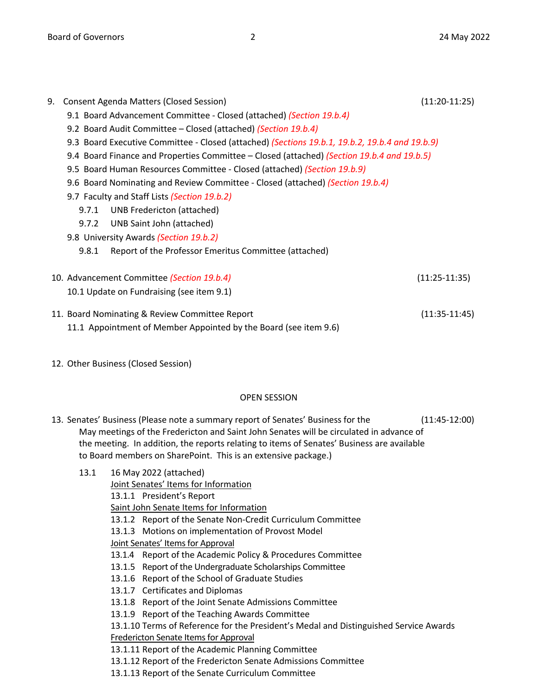| 9.                                                                                             | Consent Agenda Matters (Closed Session)<br>$(11:20-11:25)$                                 |                                                       |  |  |  |
|------------------------------------------------------------------------------------------------|--------------------------------------------------------------------------------------------|-------------------------------------------------------|--|--|--|
|                                                                                                | 9.1 Board Advancement Committee - Closed (attached) (Section 19.b.4)                       |                                                       |  |  |  |
|                                                                                                | 9.2 Board Audit Committee – Closed (attached) (Section 19.b.4)                             |                                                       |  |  |  |
| 9.3 Board Executive Committee - Closed (attached) (Sections 19.b.1, 19.b.2, 19.b.4 and 19.b.9) |                                                                                            |                                                       |  |  |  |
|                                                                                                | 9.4 Board Finance and Properties Committee – Closed (attached) (Section 19.b.4 and 19.b.5) |                                                       |  |  |  |
|                                                                                                | 9.5 Board Human Resources Committee - Closed (attached) (Section 19.b.9)                   |                                                       |  |  |  |
|                                                                                                | 9.6 Board Nominating and Review Committee - Closed (attached) (Section 19.b.4)             |                                                       |  |  |  |
|                                                                                                | 9.7 Faculty and Staff Lists (Section 19.b.2)                                               |                                                       |  |  |  |
|                                                                                                | 9.7.1                                                                                      | UNB Fredericton (attached)                            |  |  |  |
|                                                                                                | 9.7.2                                                                                      | UNB Saint John (attached)                             |  |  |  |
|                                                                                                |                                                                                            | 9.8 University Awards (Section 19.b.2)                |  |  |  |
|                                                                                                | 9.8.1                                                                                      | Report of the Professor Emeritus Committee (attached) |  |  |  |
| 10. Advancement Committee (Section 19.b.4)<br>$(11:25-11:35)$                                  |                                                                                            |                                                       |  |  |  |
|                                                                                                |                                                                                            | 10.1 Update on Fundraising (see item 9.1)             |  |  |  |
|                                                                                                | 11. Board Nominating & Review Committee Report<br>$(11:35-11:45)$                          |                                                       |  |  |  |
|                                                                                                | 11.1 Appointment of Member Appointed by the Board (see item 9.6)                           |                                                       |  |  |  |

12. Other Business (Closed Session)

## OPEN SESSION

13. Senates' Business (Please note a summary report of Senates' Business for the (11:45-12:00) May meetings of the Fredericton and Saint John Senates will be circulated in advance of the meeting. In addition, the reports relating to items of Senates' Business are available to Board members on SharePoint. This is an extensive package.)

| 13.1 |                                      | 16 May 2022 (attached)                                                                |  |  |
|------|--------------------------------------|---------------------------------------------------------------------------------------|--|--|
|      | Joint Senates' Items for Information |                                                                                       |  |  |
|      |                                      | 13.1.1 President's Report                                                             |  |  |
|      |                                      | Saint John Senate Items for Information                                               |  |  |
|      |                                      | 13.1.2 Report of the Senate Non-Credit Curriculum Committee                           |  |  |
|      |                                      | 13.1.3 Motions on implementation of Provost Model                                     |  |  |
|      |                                      | Joint Senates' Items for Approval                                                     |  |  |
|      |                                      | 13.1.4 Report of the Academic Policy & Procedures Committee                           |  |  |
|      |                                      | 13.1.5 Report of the Undergraduate Scholarships Committee                             |  |  |
|      |                                      | 13.1.6 Report of the School of Graduate Studies                                       |  |  |
|      |                                      | 13.1.7 Certificates and Diplomas                                                      |  |  |
|      |                                      | 13.1.8 Report of the Joint Senate Admissions Committee                                |  |  |
|      |                                      | 13.1.9 Report of the Teaching Awards Committee                                        |  |  |
|      |                                      | 13.1.10 Terms of Reference for the President's Medal and Distinguished Service Awards |  |  |
|      |                                      | Fredericton Senate Items for Approval                                                 |  |  |
|      |                                      | 13.1.11 Report of the Academic Planning Committee                                     |  |  |
|      |                                      | 13.1.12 Report of the Fredericton Senate Admissions Committee                         |  |  |
|      |                                      | 13.1.13 Report of the Senate Curriculum Committee                                     |  |  |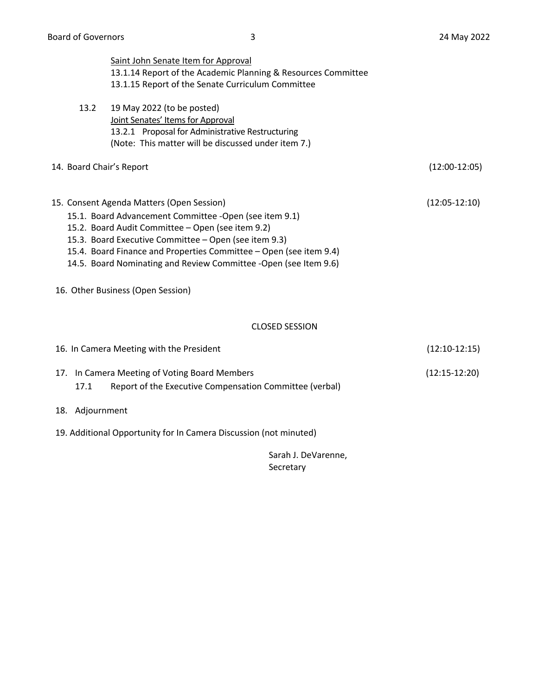|                          | Saint John Senate Item for Approval                                |                 |
|--------------------------|--------------------------------------------------------------------|-----------------|
|                          | 13.1.14 Report of the Academic Planning & Resources Committee      |                 |
|                          | 13.1.15 Report of the Senate Curriculum Committee                  |                 |
| 13.2                     | 19 May 2022 (to be posted)                                         |                 |
|                          | Joint Senates' Items for Approval                                  |                 |
|                          | 13.2.1 Proposal for Administrative Restructuring                   |                 |
|                          | (Note: This matter will be discussed under item 7.)                |                 |
| 14. Board Chair's Report |                                                                    | $(12:00-12:05)$ |
|                          | 15. Consent Agenda Matters (Open Session)                          | $(12:05-12:10)$ |
|                          | 15.1. Board Advancement Committee -Open (see item 9.1)             |                 |
|                          | 15.2. Board Audit Committee - Open (see item 9.2)                  |                 |
|                          | 15.3. Board Executive Committee - Open (see item 9.3)              |                 |
|                          | 15.4. Board Finance and Properties Committee - Open (see item 9.4) |                 |
|                          | 14.5. Board Nominating and Review Committee -Open (see Item 9.6)   |                 |
|                          | 16. Other Business (Open Session)                                  |                 |
|                          | <b>CLOSED SESSION</b>                                              |                 |
|                          | 16. In Camera Meeting with the President                           | $(12:10-12:15)$ |
|                          | 17. In Camera Meeting of Voting Board Members                      | $(12:15-12:20)$ |
| 17.1                     | Report of the Executive Compensation Committee (verbal)            |                 |
| 18. Adjournment          |                                                                    |                 |
|                          | 19. Additional Opportunity for In Camera Discussion (not minuted)  |                 |
|                          | Sarah J. DeVarenne,                                                |                 |
|                          | Secretary                                                          |                 |